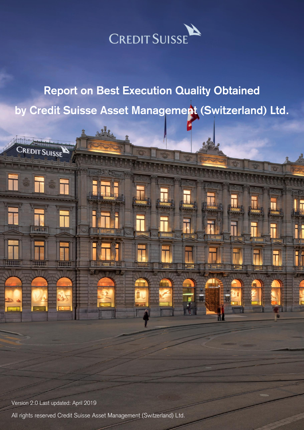

# **Report on Best Execution Quality Obtained** by Credit Suisse Asset Management (Switzerland) Ltd.

THIM

**ISSE** 

**TORAIN** 

**MILLER AND IN** 

**INTEGRATION** 

**MANITE** 

**Base** 



**CREDIT SUISSE** 

**TRUAT** 

**TEETERS** 

1111111

WWW

All rights reserved Credit Suisse Asset Management (Switzerland) Ltd.

un III

**RADA** 

۳Ť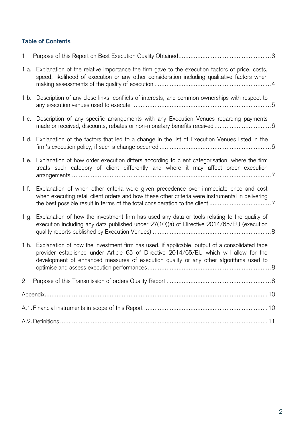# **Table of Contents**

| 1.   |                                                                                                                                                                                                                                                                                  |  |  |  |
|------|----------------------------------------------------------------------------------------------------------------------------------------------------------------------------------------------------------------------------------------------------------------------------------|--|--|--|
| 1.a. | Explanation of the relative importance the firm gave to the execution factors of price, costs,<br>speed, likelihood of execution or any other consideration including qualitative factors when                                                                                   |  |  |  |
|      | 1.b. Description of any close links, conflicts of interests, and common ownerships with respect to                                                                                                                                                                               |  |  |  |
| 1.c. | Description of any specific arrangements with any Execution Venues regarding payments                                                                                                                                                                                            |  |  |  |
|      | 1.d. Explanation of the factors that led to a change in the list of Execution Venues listed in the                                                                                                                                                                               |  |  |  |
| 1.e. | Explanation of how order execution differs according to client categorisation, where the firm<br>treats such category of client differently and where it may affect order execution                                                                                              |  |  |  |
| 1.f. | Explanation of when other criteria were given precedence over immediate price and cost<br>when executing retail client orders and how these other criteria were instrumental in delivering<br>the best possible result in terms of the total consideration to the client 7       |  |  |  |
| 1.g. | Explanation of how the investment firm has used any data or tools relating to the quality of<br>execution including any data published under 27(10)(a) of Directive 2014/65/EU (execution                                                                                        |  |  |  |
| 1.h. | Explanation of how the investment firm has used, if applicable, output of a consolidated tape<br>provider established under Article 65 of Directive 2014/65/EU which will allow for the<br>development of enhanced measures of execution quality or any other algorithms used to |  |  |  |
| 2.   |                                                                                                                                                                                                                                                                                  |  |  |  |
|      |                                                                                                                                                                                                                                                                                  |  |  |  |
|      |                                                                                                                                                                                                                                                                                  |  |  |  |
|      |                                                                                                                                                                                                                                                                                  |  |  |  |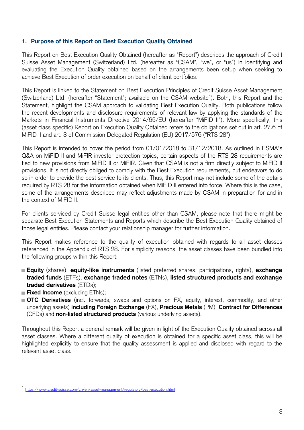# <span id="page-2-0"></span>**1. Purpose of this Report on Best Execution Quality Obtained**

This Report on Best Execution Quality Obtained (hereafter as "Report") describes the approach of Credit Suisse Asset Management (Switzerland) Ltd. (hereafter as "CSAM", "we", or "us") in identifying and evaluating the Execution Quality obtained based on the arrangements been setup when seeking to achieve Best Execution of order execution on behalf of client portfolios.

This Report is linked to the Statement on Best Execution Principles of Credit Suisse Asset Management (Switzerland) Ltd. (hereafter "Statement"; available on the CSAM website<sup>1</sup>). Both, this Report and the Statement, highlight the CSAM approach to validating Best Execution Quality. Both publications follow the recent developments and disclosure requirements of relevant law by applying the standards of the Markets in Financial Instruments Directive 2014/65/EU (hereafter "MiFID II"). More specifically, this (asset class specific) Report on Execution Quality Obtained refers to the obligations set out in art. 27.6 of MiFID II and art. 3 of Commission Delegated Regulation (EU) 2017/576 ("RTS 28").

This Report is intended to cover the period from 01/01/2018 to 31/12/2018. As outlined in ESMA's Q&A on MiFID II and MiFIR investor protection topics, certain aspects of the RTS 28 requirements are tied to new provisions from MiFID II or MiFIR. Given that CSAM is not a firm directly subject to MiFID II provisions, it is not directly obliged to comply with the Best Execution requirements, but endeavors to do so in order to provide the best service to its clients. Thus, this Report may not include some of the details required by RTS 28 for the information obtained when MiFID II entered into force. Where this is the case, some of the arrangements described may reflect adjustments made by CSAM in preparation for and in the context of MiFID II.

For clients serviced by Credit Suisse legal entities other than CSAM, please note that there might be separate Best Execution Statements and Reports which describe the Best Execution Quality obtained of those legal entities. Please contact your relationship manager for further information.

This Report makes reference to the quality of execution obtained with regards to all asset classes referenced in the Appendix of RTS 28. For simplicity reasons, the asset classes have been bundled into the following groups within this Report:

- **Equity** (shares), **equity-like instruments** (listed preferred shares, participations, rights), **exchange traded funds** (ETFs), **exchange traded notes** (ETNs), **listed structured products and exchange traded derivatives** (ETDs);
- **Fixed Income** (excluding ETNs);

 $\overline{a}$ 

**OTC Derivatives** (incl. forwards, swaps and options on FX, equity, interest, commodity, and other underlying assets) **including Foreign Exchange** (FX), **Precious Metals** (PM), **Contract for Differences** (CFDs) and **non-listed structured products** (various underlying assets).

Throughout this Report a general remark will be given in light of the Execution Quality obtained across all asset classes. Where a different quality of execution is obtained for a specific asset class, this will be highlighted explicitly to ensure that the quality assessment is applied and disclosed with regard to the relevant asset class.

<sup>1</sup> <https://www.credit-suisse.com/ch/en/asset-management/regulatory/best-execution.html>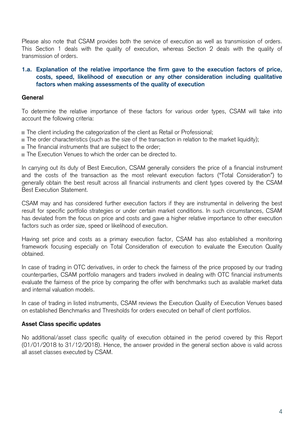Please also note that CSAM provides both the service of execution as well as transmission of orders. This Section [1](#page-2-0) deals with the quality of execution, whereas Section [2](#page-7-2) deals with the quality of transmission of orders.

# <span id="page-3-0"></span>**1.a. Explanation of the relative importance the firm gave to the execution factors of price, costs, speed, likelihood of execution or any other consideration including qualitative factors when making assessments of the quality of execution**

# **General**

To determine the relative importance of these factors for various order types, CSAM will take into account the following criteria:

- The client including the categorization of the client as Retail or Professional;
- The order characteristics (such as the size of the transaction in relation to the market liquidity);
- The financial instruments that are subject to the order;
- The Execution Venues to which the order can be directed to.

In carrying out its duty of Best Execution, CSAM generally considers the price of a financial instrument and the costs of the transaction as the most relevant execution factors ("Total Consideration") to generally obtain the best result across all financial instruments and client types covered by the CSAM **Best Execution Statement.** 

CSAM may and has considered further execution factors if they are instrumental in delivering the best result for specific portfolio strategies or under certain market conditions. In such circumstances, CSAM has deviated from the focus on price and costs and gave a higher relative importance to other execution factors such as order size, speed or likelihood of execution.

Having set price and costs as a primary execution factor, CSAM has also established a monitoring framework focusing especially on Total Consideration of execution to evaluate the Execution Quality obtained.

In case of trading in OTC derivatives, in order to check the fairness of the price proposed by our trading counterparties, CSAM portfolio managers and traders involved in dealing with OTC financial instruments evaluate the fairness of the price by comparing the offer with benchmarks such as available market data and internal valuation models.

In case of trading in listed instruments, CSAM reviews the Execution Quality of Execution Venues based on established Benchmarks and Thresholds for orders executed on behalf of client portfolios.

# **Asset Class specific updates**

No additional/asset class specific quality of execution obtained in the period covered by this Report (01/01/2018 to 31/12/2018). Hence, the answer provided in the general section above is valid across all asset classes executed by CSAM.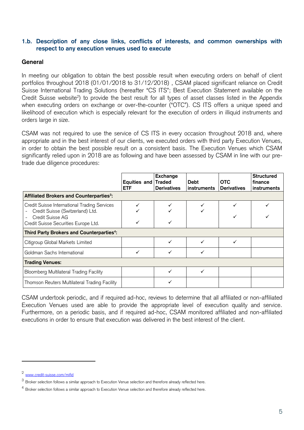# <span id="page-4-0"></span>**1.b. Description of any close links, conflicts of interests, and common ownerships with respect to any execution venues used to execute**

#### **General**

In meeting our obligation to obtain the best possible result when executing orders on behalf of client portfolios throughout 2018 (01/01/2018 to 31/12/2018) , CSAM placed significant reliance on Credit Suisse International Trading Solutions (hereafter "CS ITS"; Best Execution Statement available on the Credit Suisse website<sup>2</sup>) to provide the best result for all types of asset classes listed in the Appendix when executing orders on exchange or over-the-counter ("OTC"). CS ITS offers a unique speed and likelihood of execution which is especially relevant for the execution of orders in illiquid instruments and orders large in size.

CSAM was not required to use the service of CS ITS in every occasion throughout 2018 and, where appropriate and in the best interest of our clients, we executed orders with third party Execution Venues, in order to obtain the best possible result on a consistent basis. The Execution Venues which CSAM significantly relied upon in 2018 are as following and have been assessed by CSAM in line with our pretrade due diligence procedures:

|                                                                                                                                              | Equities and Traded<br><b>ETF</b> | Exchange<br><b>Derivatives</b> | <b>Debt</b><br>instruments | <b>OTC</b><br><b>Derivatives</b> | <b>Structured</b><br>finance<br>instruments |  |
|----------------------------------------------------------------------------------------------------------------------------------------------|-----------------------------------|--------------------------------|----------------------------|----------------------------------|---------------------------------------------|--|
| <b>Affiliated Brokers and Counterparties<sup>3</sup>:</b>                                                                                    |                                   |                                |                            |                                  |                                             |  |
| Credit Suisse International Trading Services<br>Credit Suisse (Switzerland) Ltd.<br>Credit Suisse AG<br>Credit Suisse Securities Europe Ltd. |                                   |                                |                            |                                  |                                             |  |
| Third Party Brokers and Counterparties <sup>4</sup> :                                                                                        |                                   |                                |                            |                                  |                                             |  |
| Citigroup Global Markets Limited                                                                                                             |                                   |                                |                            |                                  |                                             |  |
| Goldman Sachs International                                                                                                                  | ✓                                 |                                |                            |                                  |                                             |  |
| <b>Trading Venues:</b>                                                                                                                       |                                   |                                |                            |                                  |                                             |  |
| Bloomberg Multilateral Trading Facility                                                                                                      |                                   |                                | ✓                          |                                  |                                             |  |
| Thomson Reuters Multilateral Trading Facility                                                                                                |                                   |                                |                            |                                  |                                             |  |

CSAM undertook periodic, and if required ad-hoc, reviews to determine that all affiliated or non-affiliated Execution Venues used are able to provide the appropriate level of execution quality and service. Furthermore, on a periodic basis, and if required ad-hoc, CSAM monitored affiliated and non-affiliated executions in order to ensure that execution was delivered in the best interest of the client.

l

<sup>2</sup> [www.credit-suisse.com/mifid](http://www.credit-suisse.com/mifid)

 $^3$  Broker selection follows a similar approach to Execution Venue selection and therefore already reflected here.

 $^4$  Broker selection follows a similar approach to Execution Venue selection and therefore already reflected here.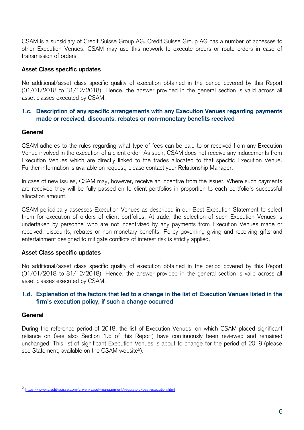CSAM is a subsidiary of Credit Suisse Group AG. Credit Suisse Group AG has a number of accesses to other Execution Venues. CSAM may use this network to execute orders or route orders in case of transmission of orders.

# **Asset Class specific updates**

No additional/asset class specific quality of execution obtained in the period covered by this Report (01/01/2018 to 31/12/2018). Hence, the answer provided in the general section is valid across all asset classes executed by CSAM.

#### <span id="page-5-0"></span>**1.c. Description of any specific arrangements with any Execution Venues regarding payments made or received, discounts, rebates or non-monetary benefits received**

#### **General**

CSAM adheres to the rules regarding what type of fees can be paid to or received from any Execution Venue involved in the execution of a client order. As such, CSAM does not receive any inducements from Execution Venues which are directly linked to the trades allocated to that specific Execution Venue. Further information is available on request, please contact your Relationship Manager.

In case of new issues, CSAM may, however, receive an incentive from the issuer. Where such payments are received they will be fully passed on to client portfolios in proportion to each portfolio's successful allocation amount.

CSAM periodically assesses Execution Venues as described in our Best Execution Statement to select them for execution of orders of client portfolios. At-trade, the selection of such Execution Venues is undertaken by personnel who are not incentivized by any payments from Execution Venues made or received, discounts, rebates or non-monetary benefits. Policy governing giving and receiving gifts and entertainment designed to mitigate conflicts of interest risk is strictly applied.

#### **Asset Class specific updates**

No additional/asset class specific quality of execution obtained in the period covered by this Report (01/01/2018 to 31/12/2018). Hence, the answer provided in the general section is valid across all asset classes executed by CSAM.

# <span id="page-5-1"></span>**1.d. Explanation of the factors that led to a change in the list of Execution Venues listed in the firm's execution policy, if such a change occurred**

#### **General**

 $\overline{a}$ 

During the reference period of 2018, the list of Execution Venues, on which CSAM placed significant reliance on (see also Section [1.b](#page-4-0) of this Report) have continuously been reviewed and remained unchanged. This list of significant Execution Venues is about to change for the period of 2019 (please see Statement, available on the CSAM website $^5$ ).

<sup>5</sup> <https://www.credit-suisse.com/ch/en/asset-management/regulatory/best-execution.html>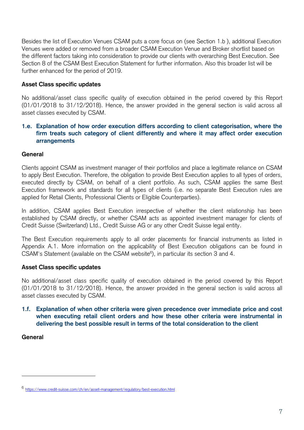Besides the list of Execution Venues CSAM puts a core focus on (see Section [1.b](#page-4-0) ), additional Execution Venues were added or removed from a broader CSAM Execution Venue and Broker shortlist based on the different factors taking into consideration to provide our clients with overarching Best Execution. See Section 8 of the CSAM Best Execution Statement for further information. Also this broader list will be further enhanced for the period of 2019.

# **Asset Class specific updates**

No additional/asset class specific quality of execution obtained in the period covered by this Report (01/01/2018 to 31/12/2018). Hence, the answer provided in the general section is valid across all asset classes executed by CSAM.

# <span id="page-6-0"></span>**1.e. Explanation of how order execution differs according to client categorisation, where the firm treats such category of client differently and where it may affect order execution arrangements**

# **General**

Clients appoint CSAM as investment manager of their portfolios and place a legitimate reliance on CSAM to apply Best Execution. Therefore, the obligation to provide Best Execution applies to all types of orders, executed directly by CSAM, on behalf of a client portfolio. As such, CSAM applies the same Best Execution framework and standards for all types of clients (i.e. no separate Best Execution rules are applied for Retail Clients, Professional Clients or Eligible Counterparties).

In addition, CSAM applies Best Execution irrespective of whether the client relationship has been established by CSAM directly, or whether CSAM acts as appointed investment manager for clients of Credit Suisse (Switzerland) Ltd., Credit Suisse AG or any other Credit Suisse legal entity.

The Best Execution requirements apply to all order placements for financial instruments as listed in Appendix [A.1.](#page-9-1) More information on the applicability of Best Execution obligations can be found in CSAM's Statement (available on the CSAM website<sup>6</sup>), in particular its section 3 and 4.

# **Asset Class specific updates**

No additional/asset class specific quality of execution obtained in the period covered by this Report (01/01/2018 to 31/12/2018). Hence, the answer provided in the general section is valid across all asset classes executed by CSAM.

# <span id="page-6-1"></span>**1.f. Explanation of when other criteria were given precedence over immediate price and cost when executing retail client orders and how these other criteria were instrumental in delivering the best possible result in terms of the total consideration to the client**

# **General**

 $\overline{a}$ 

<sup>6</sup> <https://www.credit-suisse.com/ch/en/asset-management/regulatory/best-execution.html>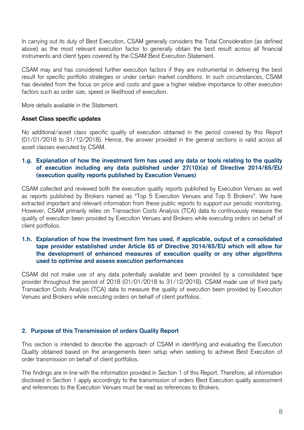In carrying out its duty of Best Execution, CSAM generally considers the Total Consideration (as defined above) as the most relevant execution factor to generally obtain the best result across all financial instruments and client types covered by the CSAM Best Execution Statement.

CSAM may and has considered further execution factors if they are instrumental in delivering the best result for specific portfolio strategies or under certain market conditions. In such circumstances, CSAM has deviated from the focus on price and costs and gave a higher relative importance to other execution factors such as order size, speed or likelihood of execution.

More details available in the Statement.

# **Asset Class specific updates**

No additional/asset class specific quality of execution obtained in the period covered by this Report (01/01/2018 to 31/12/2018). Hence, the answer provided in the general sections is valid across all asset classes executed by CSAM.

# <span id="page-7-0"></span>**1.g. Explanation of how the investment firm has used any data or tools relating to the quality of execution including any data published under 27(10)(a) of Directive 2014/65/EU (execution quality reports published by Execution Venues)**

CSAM collected and reviewed both the execution quality reports published by Execution Venues as well as reports published by Brokers named as "Top 5 Execution Venues and Top 5 Brokers". We have extracted important and relevant information from these public reports to support our periodic monitoring. However, CSAM primarily relies on Transaction Costs Analysis (TCA) data to continuously measure the quality of execution been provided by Execution Venues and Brokers while executing orders on behalf of client portfolios.

# <span id="page-7-1"></span>**1.h. Explanation of how the investment firm has used, if applicable, output of a consolidated tape provider established under Article 65 of Directive 2014/65/EU which will allow for the development of enhanced measures of execution quality or any other algorithms used to optimise and assess execution performances**

CSAM did not make use of any data potentially available and been provided by a consolidated tape provider throughout the period of 2018 (01/01/2018 to 31/12/2018). CSAM made use of third party Transaction Costs Analysis (TCA) data to measure the quality of execution been provided by Execution Venues and Brokers while executing orders on behalf of client portfolios.

# <span id="page-7-2"></span>**2. Purpose of this Transmission of orders Quality Report**

This section is intended to describe the approach of CSAM in identifying and evaluating the Execution Quality obtained based on the arrangements been setup when seeking to achieve Best Execution of order transmission on behalf of client portfolios.

The findings are in line with the information provided in Section [1](#page-2-0) of this Report. Therefore, all information disclosed in Section [1](#page-2-0) apply accordingly to the transmission of orders Best Execution quality assessment and references to the Execution Venues must be read as references to Brokers.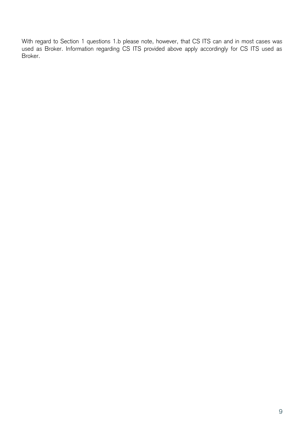With regard to Section [1](#page-2-0) questions [1.b](#page-4-0) please note, however, that CS ITS can and in most cases was used as Broker. Information regarding CS ITS provided above apply accordingly for CS ITS used as Broker.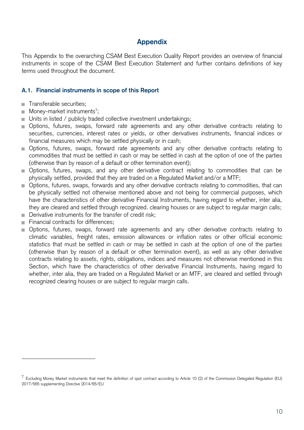# **Appendix**

<span id="page-9-0"></span>This Appendix to the overarching CSAM Best Execution Quality Report provides an overview of financial instruments in scope of the CSAM Best Execution Statement and further contains definitions of key terms used throughout the document.

# <span id="page-9-1"></span>**A.1. Financial instruments in scope of this Report**

- Transferable securities;  $\mathbf{u}$
- Money-market instruments<sup>7</sup>;
- $\blacksquare$  Units in listed / publicly traded collective investment undertakings;
- Options, futures, swaps, forward rate agreements and any other derivative contracts relating to securities, currencies, interest rates or yields, or other derivatives instruments, financial indices or financial measures which may be settled physically or in cash;
- Options, futures, swaps, forward rate agreements and any other derivative contracts relating to commodities that must be settled in cash or may be settled in cash at the option of one of the parties (otherwise than by reason of a default or other termination event);
- Options, futures, swaps, and any other derivative contract relating to commodities that can be physically settled, provided that they are traded on a Regulated Market and/or a MTF;
- Options, futures, swaps, forwards and any other derivative contracts relating to commodities, that can be physically settled not otherwise mentioned above and not being for commercial purposes, which have the characteristics of other derivative Financial Instruments, having regard to whether, inter alia, they are cleared and settled through recognized. clearing houses or are subject to regular margin calls;
- Derivative instruments for the transfer of credit risk;
- Financial contracts for differences:

 $\overline{a}$ 

Options, futures, swaps, forward rate agreements and any other derivative contracts relating to climatic variables, freight rates, emission allowances or inflation rates or other official economic statistics that must be settled in cash or may be settled in cash at the option of one of the parties (otherwise than by reason of a default or other termination event), as well as any other derivative contracts relating to assets, rights, obligations, indices and measures not otherwise mentioned in this Section, which have the characteristics of other derivative Financial Instruments, having regard to whether, inter alia, they are traded on a Regulated Market or an MTF, are cleared and settled through recognized clearing houses or are subject to regular margin calls.

 $^7$  Excluding Money Market instruments that meet the definition of spot contract according to Article 10 (2) of the Commission Delegated Regulation (EU) 2017/565 supplementing Directive 2014/65/EU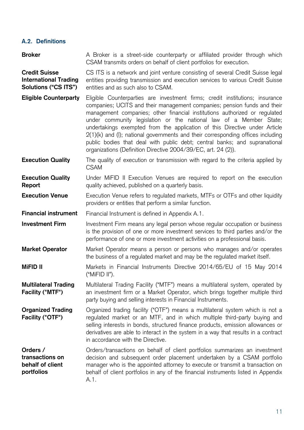# <span id="page-10-0"></span>**A.2. Definitions**

| <b>Broker</b>                                                                | A Broker is a street-side counterparty or affiliated provider through which<br>CSAM transmits orders on behalf of client portfolios for execution.                                                                                                                                                                                                                                                                                                                                                                                                                                                                           |
|------------------------------------------------------------------------------|------------------------------------------------------------------------------------------------------------------------------------------------------------------------------------------------------------------------------------------------------------------------------------------------------------------------------------------------------------------------------------------------------------------------------------------------------------------------------------------------------------------------------------------------------------------------------------------------------------------------------|
| <b>Credit Suisse</b><br><b>International Trading</b><br>Solutions ("CS ITS") | CS ITS is a network and joint venture consisting of several Credit Suisse legal<br>entities providing transmission and execution services to various Credit Suisse<br>entities and as such also to CSAM.                                                                                                                                                                                                                                                                                                                                                                                                                     |
| <b>Eligible Counterparty</b>                                                 | Eligible Counterparties are investment firms; credit institutions; insurance<br>companies; UCITS and their management companies; pension funds and their<br>management companies; other financial institutions authorized or regulated<br>under community legislation or the national law of a Member State;<br>undertakings exempted from the application of this Directive under Article<br>2(1)(k) and (l); national governments and their corresponding offices including<br>public bodies that deal with public debt; central banks; and supranational<br>organizations (Definition Directive 2004/39/EC, art. 24 (2)). |
| <b>Execution Quality</b>                                                     | The quality of execution or transmission with regard to the criteria applied by<br><b>CSAM</b>                                                                                                                                                                                                                                                                                                                                                                                                                                                                                                                               |
| <b>Execution Quality</b><br>Report                                           | Under MiFID II Execution Venues are required to report on the execution<br>quality achieved, published on a quarterly basis.                                                                                                                                                                                                                                                                                                                                                                                                                                                                                                 |
| <b>Execution Venue</b>                                                       | Execution Venue refers to regulated markets, MTFs or OTFs and other liquidity<br>providers or entities that perform a similar function.                                                                                                                                                                                                                                                                                                                                                                                                                                                                                      |
| <b>Financial instrument</b>                                                  | Financial Instrument is defined in Appendix A.1.                                                                                                                                                                                                                                                                                                                                                                                                                                                                                                                                                                             |
| <b>Investment Firm</b>                                                       | Investment Firm means any legal person whose regular occupation or business<br>is the provision of one or more investment services to third parties and/or the<br>performance of one or more investment activities on a professional basis.                                                                                                                                                                                                                                                                                                                                                                                  |
| <b>Market Operator</b>                                                       | Market Operator means a person or persons who manages and/or operates<br>the business of a regulated market and may be the regulated market itself.                                                                                                                                                                                                                                                                                                                                                                                                                                                                          |
| <b>MiFID II</b>                                                              | Markets in Financial Instruments Directive 2014/65/EU of 15 May 2014<br>("MiFID II").                                                                                                                                                                                                                                                                                                                                                                                                                                                                                                                                        |
| <b>Multilateral Trading</b><br>Facility ("MTF")                              | Multilateral Trading Facility ("MTF") means a multilateral system, operated by<br>an investment firm or a Market Operator, which brings together multiple third<br>party buying and selling interests in Financial Instruments.                                                                                                                                                                                                                                                                                                                                                                                              |
| <b>Organized Trading</b><br>Facility ("OTF")                                 | Organized trading facility ("OTF") means a multilateral system which is not a<br>regulated market or an MTF, and in which multiple third-party buying and<br>selling interests in bonds, structured finance products, emission allowances or<br>derivatives are able to interact in the system in a way that results in a contract<br>in accordance with the Directive.                                                                                                                                                                                                                                                      |
| Orders /<br>transactions on<br>behalf of client<br>portfolios                | Orders/transactions on behalf of client portfolios summarizes an investment<br>decision and subsequent order placement undertaken by a CSAM portfolio<br>manager who is the appointed attorney to execute or transmit a transaction on<br>behalf of client portfolios in any of the financial instruments listed in Appendix<br>A.1.                                                                                                                                                                                                                                                                                         |